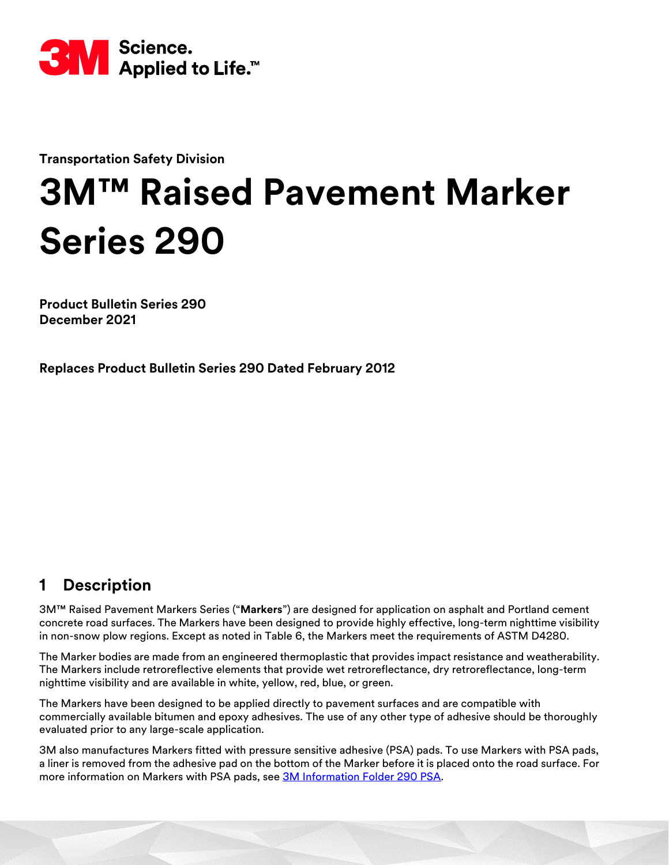

**Transportation Safety Division**

# **3M™ Raised Pavement Marker Series 290**

**Product Bulletin Series 290 December 2021**

**Replaces Product Bulletin Series 290 Dated February 2012**

# **1 Description**

3M™ Raised Pavement Markers Series ("**Markers**") are designed for application on asphalt and Portland cement concrete road surfaces. The Markers have been designed to provide highly effective, long-term nighttime visibility in non-snow plow regions. Except as noted in Table [6,](#page-3-0) the Markers meet the requirements of ASTM D4280.

The Marker bodies are made from an engineered thermoplastic that provides impact resistance and weatherability. The Markers include retroreflective elements that provide wet retroreflectance, dry retroreflectance, long-term nighttime visibility and are available in white, yellow, red, blue, or green.

The Markers have been designed to be applied directly to pavement surfaces and are compatible with commercially available bitumen and epoxy adhesives. The use of any other type of adhesive should be thoroughly evaluated prior to any large-scale application.

3M also manufactures Markers fitted with pressure sensitive adhesive (PSA) pads. To use Markers with PSA pads, a liner is removed from the adhesive pad on the bottom of the Marker before it is placed onto the road surface. For more information on Markers with PSA pads, see [3M Information Folder 290 PSA.](https://multimedia.3m.com/mws/media/105709O/if-290-instructions-for-3m-psa-marker-market-test.pdf)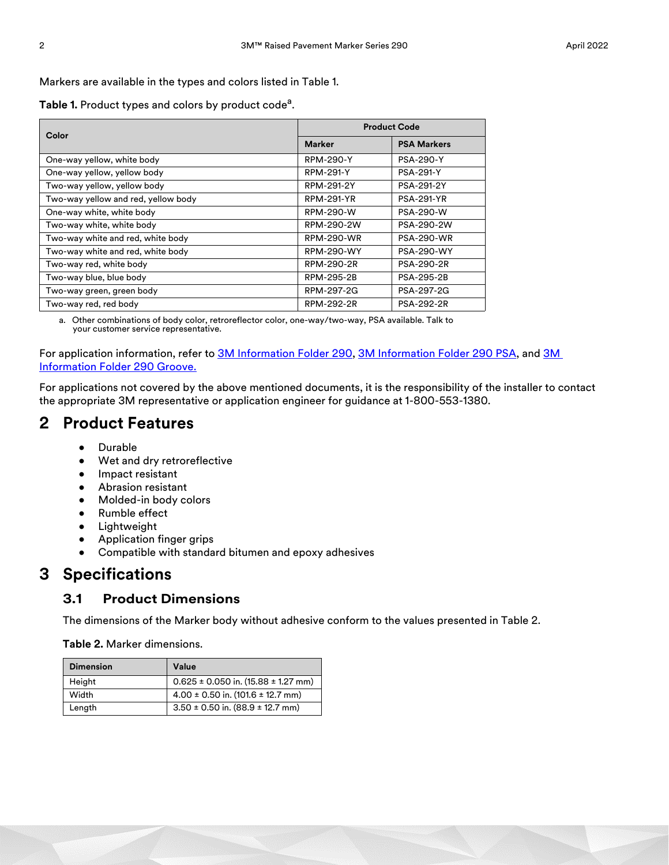Markers are available in the types and colors listed in Table 1.

Table 1. Product types and colors by product code<sup>a</sup>.

|                                     | <b>Product Code</b> |                    |  |  |  |
|-------------------------------------|---------------------|--------------------|--|--|--|
| Color                               | <b>Marker</b>       | <b>PSA Markers</b> |  |  |  |
| One-way yellow, white body          | <b>RPM-290-Y</b>    | <b>PSA-290-Y</b>   |  |  |  |
| One-way yellow, yellow body         | <b>RPM-291-Y</b>    | <b>PSA-291-Y</b>   |  |  |  |
| Two-way yellow, yellow body         | RPM-291-2Y          | PSA-291-2Y         |  |  |  |
| Two-way yellow and red, yellow body | RPM-291-YR          | <b>PSA-291-YR</b>  |  |  |  |
| One-way white, white body           | RPM-290-W           | <b>PSA-290-W</b>   |  |  |  |
| Two-way white, white body           | RPM-290-2W          | PSA-290-2W         |  |  |  |
| Two-way white and red, white body   | <b>RPM-290-WR</b>   | <b>PSA-290-WR</b>  |  |  |  |
| Two-way white and red, white body   | <b>RPM-290-WY</b>   | <b>PSA-290-WY</b>  |  |  |  |
| Two-way red, white body             | RPM-290-2R          | <b>PSA-290-2R</b>  |  |  |  |
| Two-way blue, blue body             | RPM-295-2B          | <b>PSA-295-2B</b>  |  |  |  |
| Two-way green, green body           | RPM-297-2G          | PSA-297-2G         |  |  |  |
| Two-way red, red body               | RPM-292-2R          | <b>PSA-292-2R</b>  |  |  |  |

a. Other combinations of body color, retroreflector color, one-way/two-way, PSA available. Talk to your customer service representative.

For application information, refer to [3M Information Folder 290,](https://multimedia.3m.com/mws/media/105688O/if-290-instructions-for-3m-markers-series-290.pdf) [3M Information Folder 290 PSA,](https://multimedia.3m.com/mws/media/105709O/if-290-instructions-for-3m-psa-marker-market-test.pdf) and 3M [Information Folder 290 Groove.](https://multimedia.3m.com/mws/media/105708O/if-290-instructions-for-3m-markers-in-grooved-surface.pdf)

For applications not covered by the above mentioned documents, it is the responsibility of the installer to contact the appropriate 3M representative or application engineer for guidance at 1-800-553-1380.

## **2 Product Features**

- Durable
- Wet and dry retroreflective
- Impact resistant
- Abrasion resistant
- Molded-in body colors
- Rumble effect
- Lightweight
- Application finger grips
- Compatible with standard bitumen and epoxy adhesives

## **3 Specifications**

#### **3.1 Product Dimensions**

The dimensions of the Marker body without adhesive conform to the values presented in Table [2](#page-1-0).

<span id="page-1-0"></span>**Table 2.** Marker dimensions.

| <b>Dimension</b> | Value                                       |
|------------------|---------------------------------------------|
| Height           | $0.625 \pm 0.050$ in. (15.88 $\pm$ 1.27 mm) |
| Width            | $4.00 \pm 0.50$ in. (101.6 $\pm$ 12.7 mm)   |
| Length           | $3.50 \pm 0.50$ in. (88.9 $\pm$ 12.7 mm)    |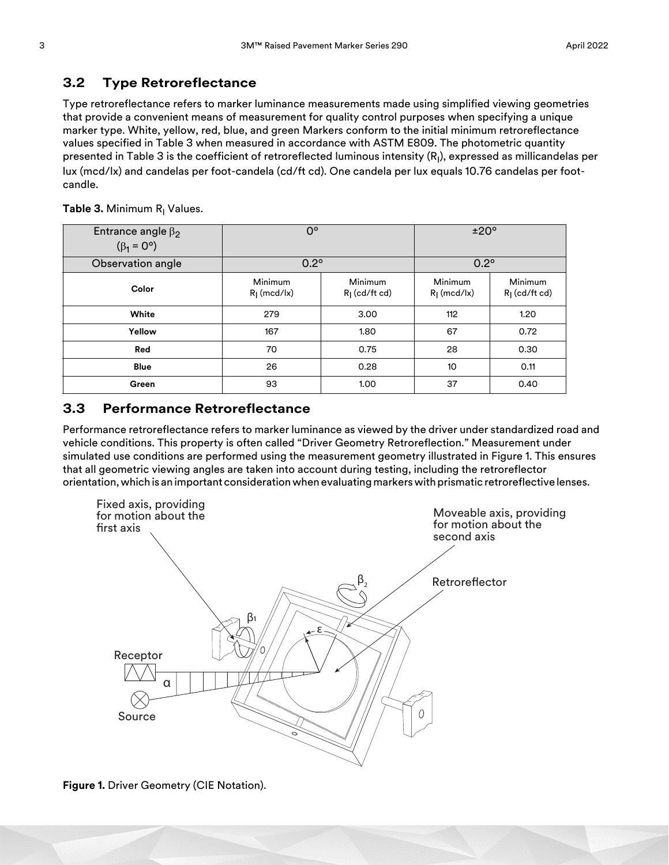#### **3.2 Type Retroreflectance**

Type retroreflectance refers to marker luminance measurements made using simplified viewing geometries that provide a convenient means of measurement for quality control purposes when specifying a unique marker type. White, yellow, red, blue, and green Markers conform to the initial minimum retroreflectance values specified in Table [3](#page-2-0) when measured in accordance with ASTM E809. The photometric quantity presented in Table [3](#page-2-0) is the coefficient of retroreflected luminous intensity (R<sub>I</sub>), expressed as millicandelas per lux (mcd/lx) and candelas per foot-candela (cd/ft cd). One candela per lux equals 10.76 candelas per footcandle.

| Entrance angle $\beta_2$<br>$(\beta_1 = 0^{\circ})$ | $0^{\circ}$               |                            | ±20°                     |                            |  |
|-----------------------------------------------------|---------------------------|----------------------------|--------------------------|----------------------------|--|
| Observation angle                                   | $0.2^\circ$               |                            | $0.2^\circ$              |                            |  |
| Color                                               | Minimum<br>$R_1$ (mcd/lx) | Minimum<br>$RI$ (cd/ft cd) | Minimum<br>$Rl$ (mcd/lx) | Minimum<br>$Rl$ (cd/ft cd) |  |
| White                                               | 279                       | 3.00                       | 112                      | 1.20                       |  |
| Yellow                                              | 167                       | 1.80                       | 67                       | 0.72                       |  |
| Red                                                 | 70                        | 0.75                       | 28                       | 0.30                       |  |
| <b>Blue</b>                                         | 26                        | 0.28                       | 10                       | 0.11                       |  |
| Green                                               | 93                        | 1.00                       | 37                       | 0.40                       |  |

<span id="page-2-0"></span>**Table 3.** Minimum R<sub>I</sub> Values.

#### **3.3 Performance Retroreflectance**

Performance retroreflectance refers to marker luminance as viewed by the driver under standardized road and vehicle conditions. This property is often called "Driver Geometry Retroreflection." Measurement under simulated use conditions are performed using the measurement geometry illustrated in Figure [1.](#page-2-1) This ensures that all geometric viewing angles are taken into account during testing, including the retroreflector orientation, which is an important consideration when evaluating markers with prismatic retroreflective lenses.



<span id="page-2-1"></span>**Figure 1.** Driver Geometry (CIE Notation).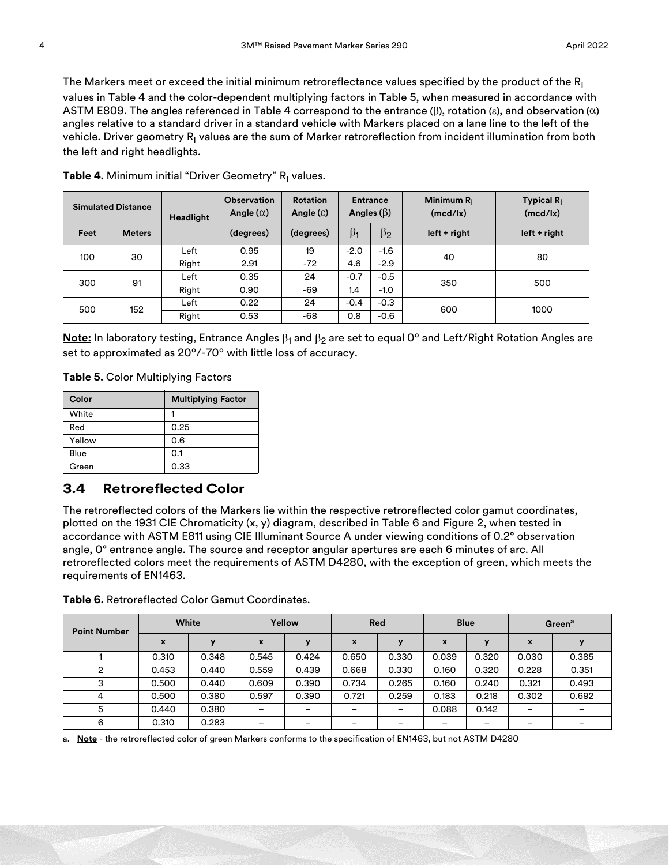The Markers meet or exceed the initial minimum retroreflectance values specified by the product of the  $R_1$ values in Table [4](#page-3-1) and the color-dependent multiplying factors in Table [5](#page-3-2), when measured in accordance with ASTM E809. The angles referenced in Table [4](#page-3-1) correspond to the entrance  $(\beta)$ , rotation  $(\epsilon)$ , and observation  $(\alpha)$ angles relative to a standard driver in a standard vehicle with Markers placed on a lane line to the left of the vehicle. Driver geometry R<sub>I</sub> values are the sum of Marker retroreflection from incident illumination from both the left and right headlights.

| <b>Simulated Distance</b> |               | <b>Headlight</b> | <b>Observation</b><br>Angle $(\alpha)$ | <b>Rotation</b><br><b>Entrance</b><br>Angles $(\beta)$<br>Angle $(\epsilon)$ |           | Minimum $R_1$<br>(mcd/lx) | Typical $R_1$<br>(mcd/lx) |                |  |
|---------------------------|---------------|------------------|----------------------------------------|------------------------------------------------------------------------------|-----------|---------------------------|---------------------------|----------------|--|
| Feet                      | <b>Meters</b> |                  | (degrees)                              | (degrees)                                                                    | $\beta_1$ | $\beta_2$                 | $left + right$            | $left + right$ |  |
| 30<br>100                 | Left          | 0.95             | 19                                     | $-2.0$                                                                       | $-1.6$    | 40                        | 80                        |                |  |
|                           |               | Right            | 2.91                                   | $-72$                                                                        | 4.6       | $-2.9$                    |                           |                |  |
| 300                       | 91            | Left             | 0.35                                   | 24                                                                           | $-0.7$    | $-0.5$                    | 350                       | 500            |  |
|                           |               | Right            | 0.90                                   | -69                                                                          | 1.4       | $-1.0$                    |                           |                |  |
| 500                       | 152           | Left             | 0.22                                   | 24                                                                           | $-0.4$    | $-0.3$                    | 600                       | 1000           |  |
|                           |               | Right            | 0.53                                   | -68                                                                          | 0.8       | $-0.6$                    |                           |                |  |

<span id="page-3-1"></span>**Table 4.** Minimum initial "Driver Geometry" R<sub>I</sub> values.

**Note:** In laboratory testing, Entrance Angles  $\beta_1$  and  $\beta_2$  are set to equal 0° and Left/Right Rotation Angles are set to approximated as 20º/-70º with little loss of accuracy.

<span id="page-3-2"></span>**Table 5.** Color Multiplying Factors

| Color  | <b>Multiplying Factor</b> |
|--------|---------------------------|
| White  |                           |
| Red    | 0.25                      |
| Yellow | 0.6                       |
| Blue   | 0.1                       |
| Green  | 0.33                      |

#### **3.4 Retroreflected Color**

The retroreflected colors of the Markers lie within the respective retroreflected color gamut coordinates, plotted on the 1931 CIE Chromaticity (x, y) diagram, described in Table [6](#page-3-0) and Figure [2,](#page-4-0) when tested in accordance with ASTM E811 using CIE Illuminant Source A under viewing conditions of 0.2° observation angle, 0° entrance angle. The source and receptor angular apertures are each 6 minutes of arc. All retroreflected colors meet the requirements of ASTM D4280, with the exception of green, which meets the requirements of EN1463.

| <b>Point Number</b> | White |       | Yellow |                          | Red   |       | <b>Blue</b> |       | Green <sup>a</sup> |       |
|---------------------|-------|-------|--------|--------------------------|-------|-------|-------------|-------|--------------------|-------|
|                     | X     |       | X      |                          | x     | y     | X           |       | X                  |       |
|                     | 0.310 | 0.348 | 0.545  | 0.424                    | 0.650 | 0.330 | 0.039       | 0.320 | 0.030              | 0.385 |
| റ                   | 0.453 | 0.440 | 0.559  | 0.439                    | 0.668 | 0.330 | 0.160       | 0.320 | 0.228              | 0.351 |
| 3                   | 0.500 | 0.440 | 0.609  | 0.390                    | 0.734 | 0.265 | 0.160       | 0.240 | 0.321              | 0.493 |
| 4                   | 0.500 | 0.380 | 0.597  | 0.390                    | 0.721 | 0.259 | 0.183       | 0.218 | 0.302              | 0.692 |
| 5                   | 0.440 | 0.380 | -      | $\overline{\phantom{0}}$ |       | -     | 0.088       | 0.142 | -                  |       |
| 6                   | 0.310 | 0.283 |        |                          |       |       |             |       |                    |       |

<span id="page-3-0"></span>**Table 6.** Retroreflected Color Gamut Coordinates.

a. **Note** - the retroreflected color of green Markers conforms to the specification of EN1463, but not ASTM D4280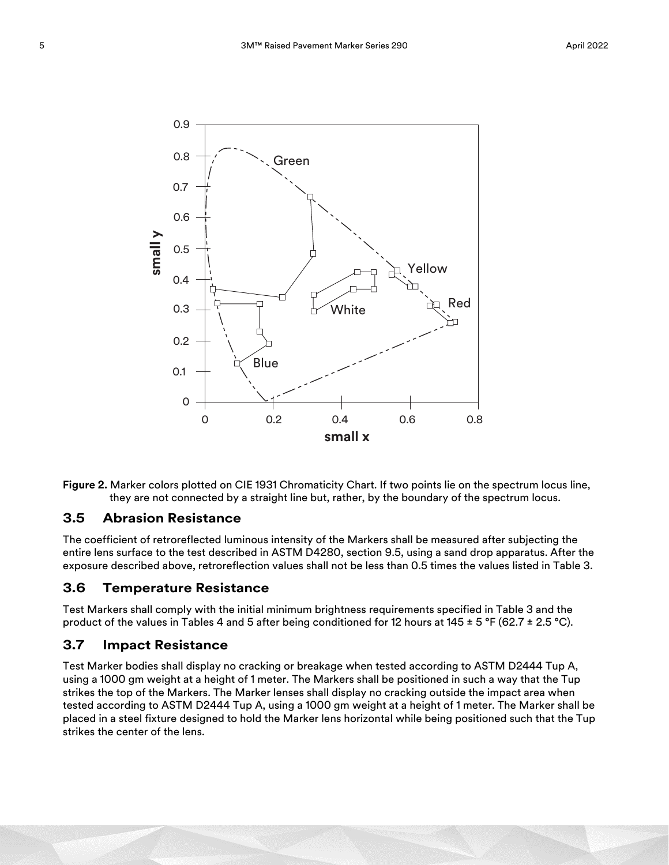

<span id="page-4-0"></span>

#### **3.5 Abrasion Resistance**

The coefficient of retroreflected luminous intensity of the Markers shall be measured after subjecting the entire lens surface to the test described in ASTM D4280, section 9.5, using a sand drop apparatus. After the exposure described above, retroreflection values shall not be less than 0.5 times the values listed in Table [3](#page-2-0).

#### **3.6 Temperature Resistance**

Test Markers shall comply with the initial minimum brightness requirements specified in Table [3](#page-2-0) and the product of the values in Tables [4](#page-3-1) and [5](#page-3-2) after being conditioned for 12 hours at 145  $\pm$  5 °F (62.7  $\pm$  2.5 °C).

#### **3.7 Impact Resistance**

Test Marker bodies shall display no cracking or breakage when tested according to ASTM D2444 Tup A, using a 1000 gm weight at a height of 1 meter. The Markers shall be positioned in such a way that the Tup strikes the top of the Markers. The Marker lenses shall display no cracking outside the impact area when tested according to ASTM D2444 Tup A, using a 1000 gm weight at a height of 1 meter. The Marker shall be placed in a steel fixture designed to hold the Marker lens horizontal while being positioned such that the Tup strikes the center of the lens.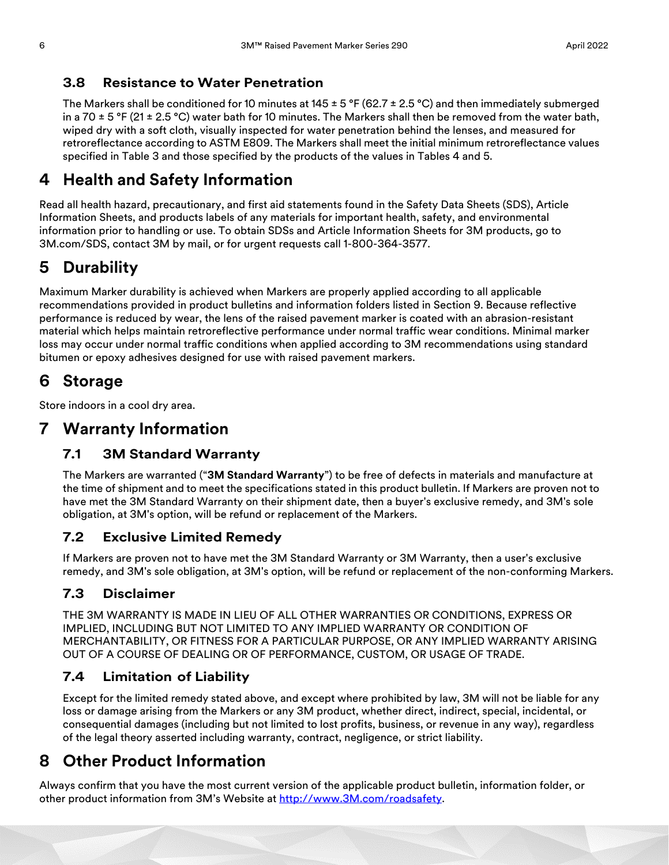#### **3.8 Resistance to Water Penetration**

The Markers shall be conditioned for 10 minutes at 145  $\pm$  5 °F (62.7  $\pm$  2.5 °C) and then immediately submerged in a 70  $\pm$  5 °F (21  $\pm$  2.5 °C) water bath for 10 minutes. The Markers shall then be removed from the water bath, wiped dry with a soft cloth, visually inspected for water penetration behind the lenses, and measured for retroreflectance according to ASTM E809. The Markers shall meet the initial minimum retroreflectance values specified in Table [3](#page-2-0) and those specified by the products of the values in Tables [4](#page-3-1) and [5](#page-3-2).

## **4 Health and Safety Information**

Read all health hazard, precautionary, and first aid statements found in the Safety Data Sheets (SDS), Article Information Sheets, and products labels of any materials for important health, safety, and environmental information prior to handling or use. To obtain SDSs and Article Information Sheets for 3M products, go to 3M.com/SDS, contact 3M by mail, or for urgent requests call 1-800-364-3577.

# **5 Durability**

Maximum Marker durability is achieved when Markers are properly applied according to all applicable recommendations provided in product bulletins and information folders listed in Section [9.](#page-6-0) Because reflective performance is reduced by wear, the lens of the raised pavement marker is coated with an abrasion-resistant material which helps maintain retroreflective performance under normal traffic wear conditions. Minimal marker loss may occur under normal traffic conditions when applied according to 3M recommendations using standard bitumen or epoxy adhesives designed for use with raised pavement markers.

## **6 Storage**

Store indoors in a cool dry area.

## **7 Warranty Information**

## **7.1 3M Standard Warranty**

The Markers are warranted ("**3M Standard Warranty**") to be free of defects in materials and manufacture at the time of shipment and to meet the specifications stated in this product bulletin. If Markers are proven not to have met the 3M Standard Warranty on their shipment date, then a buyer's exclusive remedy, and 3M's sole obligation, at 3M's option, will be refund or replacement of the Markers.

## **7.2 Exclusive Limited Remedy**

If Markers are proven not to have met the 3M Standard Warranty or 3M Warranty, then a user's exclusive remedy, and 3M's sole obligation, at 3M's option, will be refund or replacement of the non-conforming Markers.

## **7.3 Disclaimer**

THE 3M WARRANTY IS MADE IN LIEU OF ALL OTHER WARRANTIES OR CONDITIONS, EXPRESS OR IMPLIED, INCLUDING BUT NOT LIMITED TO ANY IMPLIED WARRANTY OR CONDITION OF MERCHANTABILITY, OR FITNESS FOR A PARTICULAR PURPOSE, OR ANY IMPLIED WARRANTY ARISING OUT OF A COURSE OF DEALING OR OF PERFORMANCE, CUSTOM, OR USAGE OF TRADE.

## **7.4 Limitation of Liability**

Except for the limited remedy stated above, and except where prohibited by law, 3M will not be liable for any loss or damage arising from the Markers or any 3M product, whether direct, indirect, special, incidental, or consequential damages (including but not limited to lost profits, business, or revenue in any way), regardless of the legal theory asserted including warranty, contract, negligence, or strict liability.

## **8 Other Product Information**

Always confirm that you have the most current version of the applicable product bulletin, information folder, or other product information from 3M's Website at [http://www.3M.com/roadsafety.](http://www.mmm.com/tss)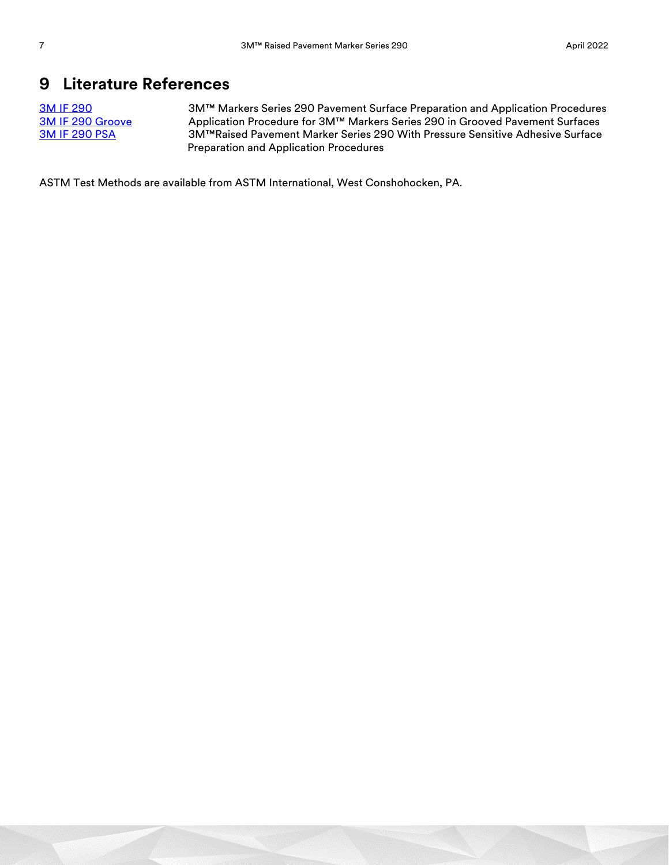## <span id="page-6-0"></span>**9 Literature References**

[3M IF 290](https://multimedia.3m.com/mws/media/105688O/if-290-instructions-for-3m-markers-series-290.pdf) 3M™ Markers Series 290 Pavement Surface Preparation and Application Procedures<br>3M IF 290 Groove Application Procedure for 3M™ Markers Series 290 in Grooved Pavement Surfaces Application Procedure for 3M™ Markers Series 290 in Grooved Pavement Surfaces [3M IF 290 PSA](https://multimedia.3m.com/mws/media/105709O/if-290-instructions-for-3m-psa-marker-market-test.pdf) 3M™Raised Pavement Marker Series 290 With Pressure Sensitive Adhesive Surface Preparation and Application Procedures

ASTM Test Methods are available from ASTM International, West Conshohocken, PA.